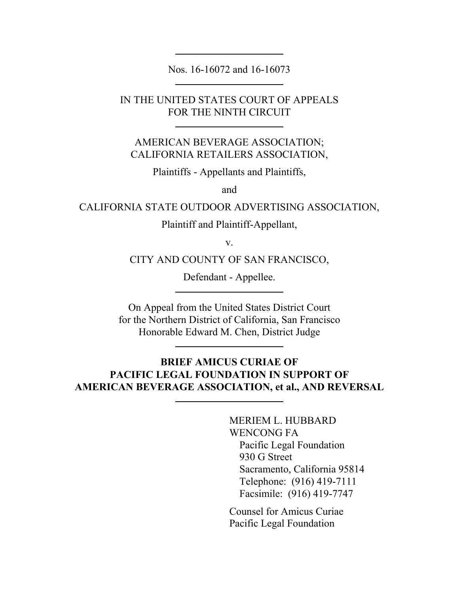Nos. 16-16072 and 16-16073

IN THE UNITED STATES COURT OF APPEALS FOR THE NINTH CIRCUIT

AMERICAN BEVERAGE ASSOCIATION; CALIFORNIA RETAILERS ASSOCIATION,

Plaintiffs - Appellants and Plaintiffs,

and

CALIFORNIA STATE OUTDOOR ADVERTISING ASSOCIATION,

Plaintiff and Plaintiff-Appellant,

v.

CITY AND COUNTY OF SAN FRANCISCO,

Defendant - Appellee.

On Appeal from the United States District Court for the Northern District of California, San Francisco Honorable Edward M. Chen, District Judge

## **BRIEF AMICUS CURIAE OF PACIFIC LEGAL FOUNDATION IN SUPPORT OF AMERICAN BEVERAGE ASSOCIATION, et al., AND REVERSAL**

MERIEM L. HUBBARD WENCONG FA Pacific Legal Foundation 930 G Street Sacramento, California 95814 Telephone: (916) 419-7111 Facsimile: (916) 419-7747

Counsel for Amicus Curiae Pacific Legal Foundation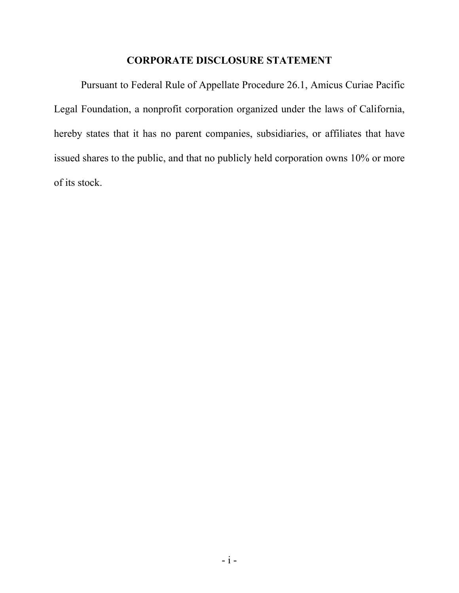### **CORPORATE DISCLOSURE STATEMENT**

Pursuant to Federal Rule of Appellate Procedure 26.1, Amicus Curiae Pacific Legal Foundation, a nonprofit corporation organized under the laws of California, hereby states that it has no parent companies, subsidiaries, or affiliates that have issued shares to the public, and that no publicly held corporation owns 10% or more of its stock.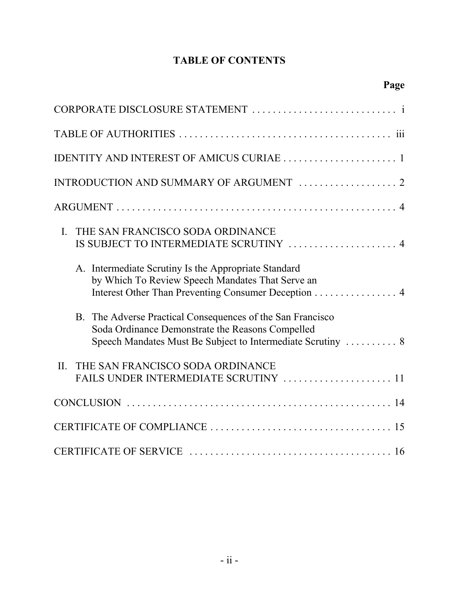## **TABLE OF CONTENTS**

**Page**

| IDENTITY AND INTEREST OF AMICUS CURIAE  1                                                                                                                                     |
|-------------------------------------------------------------------------------------------------------------------------------------------------------------------------------|
| INTRODUCTION AND SUMMARY OF ARGUMENT  2                                                                                                                                       |
|                                                                                                                                                                               |
| THE SAN FRANCISCO SODA ORDINANCE<br>$\mathbf{I}$ .<br>IS SUBJECT TO INTERMEDIATE SCRUTINY  4                                                                                  |
| A. Intermediate Scrutiny Is the Appropriate Standard<br>by Which To Review Speech Mandates That Serve an<br>Interest Other Than Preventing Consumer Deception 4               |
| B. The Adverse Practical Consequences of the San Francisco<br>Soda Ordinance Demonstrate the Reasons Compelled<br>Speech Mandates Must Be Subject to Intermediate Scrutiny  8 |
| THE SAN FRANCISCO SODA ORDINANCE<br>II.<br>FAILS UNDER INTERMEDIATE SCRUTINY  11                                                                                              |
|                                                                                                                                                                               |
|                                                                                                                                                                               |
|                                                                                                                                                                               |

CERTIFICATE OF SERVICE . . . . . . . . . . . . . . . . . . . . . . . . . . . . . . . . . . . . . . . 16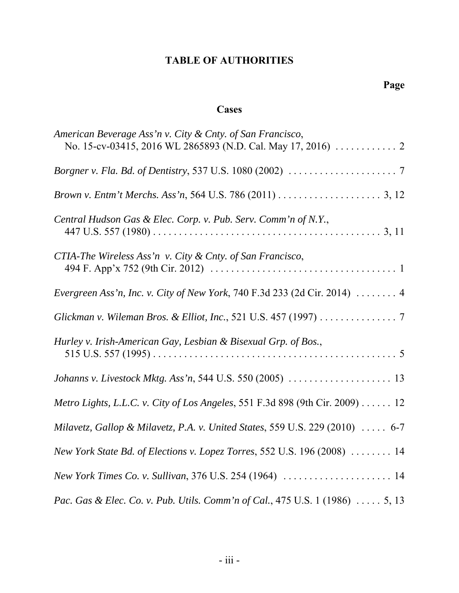# **TABLE OF AUTHORITIES**

## **Cases**

| American Beverage Ass'n v. City & Cnty. of San Francisco,                              |
|----------------------------------------------------------------------------------------|
|                                                                                        |
|                                                                                        |
| Central Hudson Gas & Elec. Corp. v. Pub. Serv. Comm'n of N.Y.,                         |
| CTIA-The Wireless Ass'n v. City & Cnty. of San Francisco,                              |
| Evergreen Ass'n, Inc. v. City of New York, 740 F.3d 233 (2d Cir. 2014)  4              |
| Glickman v. Wileman Bros. & Elliot, Inc., 521 U.S. 457 (1997) 7                        |
| Hurley v. Irish-American Gay, Lesbian & Bisexual Grp. of Bos.,                         |
| Johanns v. Livestock Mktg. Ass'n, 544 U.S. 550 (2005)  13                              |
| Metro Lights, L.L.C. v. City of Los Angeles, 551 F.3d 898 (9th Cir. 2009) 12           |
| Milavetz, Gallop & Milavetz, P.A. v. United States, 559 U.S. 229 (2010) $\ldots$ . 6-7 |
| New York State Bd. of Elections v. Lopez Torres, 552 U.S. 196 (2008)  14               |
| New York Times Co. v. Sullivan, 376 U.S. 254 (1964)  14                                |
| Pac. Gas & Elec. Co. v. Pub. Utils. Comm'n of Cal., 475 U.S. 1 (1986)  5, 13           |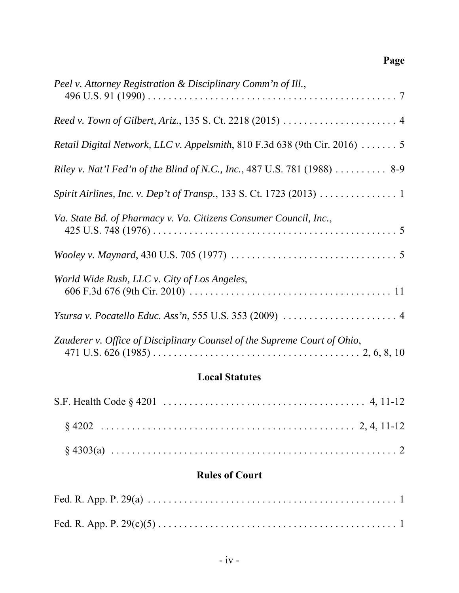# **Page**

| Peel v. Attorney Registration & Disciplinary Comm'n of Ill.,               |
|----------------------------------------------------------------------------|
|                                                                            |
| Retail Digital Network, LLC v. Appelsmith, 810 F.3d 638 (9th Cir. 2016)  5 |
| Riley v. Nat'l Fed'n of the Blind of N.C., Inc., 487 U.S. 781 (1988) 8-9   |
| Spirit Airlines, Inc. v. Dep't of Transp., 133 S. Ct. 1723 (2013) 1        |
| Va. State Bd. of Pharmacy v. Va. Citizens Consumer Council, Inc.,          |
|                                                                            |
| World Wide Rush, LLC v. City of Los Angeles,                               |
|                                                                            |
| Zauderer v. Office of Disciplinary Counsel of the Supreme Court of Ohio,   |

## **Local Statutes**

## **Rules of Court**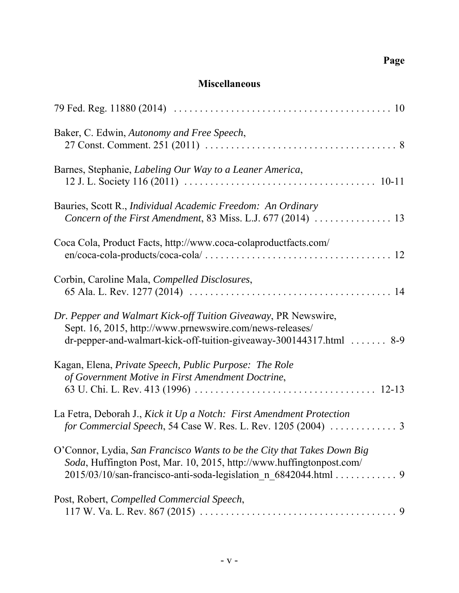## **Miscellaneous**

| Baker, C. Edwin, Autonomy and Free Speech,                                                                                                                                                                         |
|--------------------------------------------------------------------------------------------------------------------------------------------------------------------------------------------------------------------|
| Barnes, Stephanie, Labeling Our Way to a Leaner America,                                                                                                                                                           |
| Bauries, Scott R., Individual Academic Freedom: An Ordinary                                                                                                                                                        |
| Coca Cola, Product Facts, http://www.coca-colaproductfacts.com/                                                                                                                                                    |
| Corbin, Caroline Mala, Compelled Disclosures,                                                                                                                                                                      |
| Dr. Pepper and Walmart Kick-off Tuition Giveaway, PR Newswire,<br>Sept. 16, 2015, http://www.prnewswire.com/news-releases/<br>dr-pepper-and-walmart-kick-off-tuition-giveaway-300144317.html  8-9                  |
| Kagan, Elena, Private Speech, Public Purpose: The Role<br>of Government Motive in First Amendment Doctrine,                                                                                                        |
| La Fetra, Deborah J., Kick it Up a Notch: First Amendment Protection<br>for Commercial Speech, 54 Case W. Res. L. Rev. 1205 (2004)  3                                                                              |
| O'Connor, Lydia, San Francisco Wants to be the City that Takes Down Big<br>Soda, Huffington Post, Mar. 10, 2015, http://www.huffingtonpost.com/<br>2015/03/10/san-francisco-anti-soda-legislation_n_6842044.html 9 |
| Post, Robert, Compelled Commercial Speech,                                                                                                                                                                         |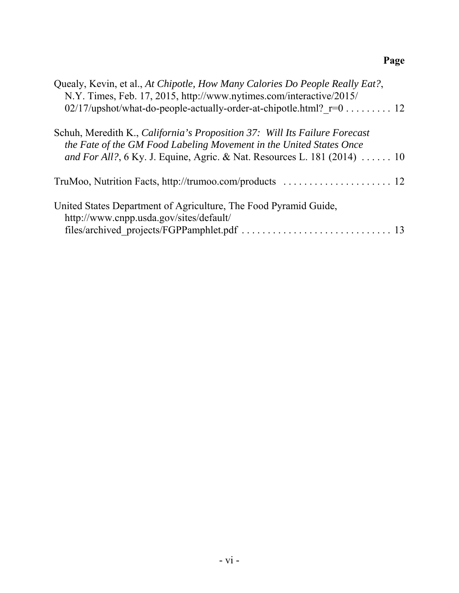# **Page**

| Quealy, Kevin, et al., At Chipotle, How Many Calories Do People Really Eat?,<br>N.Y. Times, Feb. 17, 2015, http://www.nytimes.com/interactive/2015/                                                                           |
|-------------------------------------------------------------------------------------------------------------------------------------------------------------------------------------------------------------------------------|
| 02/17/upshot/what-do-people-actually-order-at-chipotle.html? $r=0$ 12                                                                                                                                                         |
| Schuh, Meredith K., California's Proposition 37: Will Its Failure Forecast<br>the Fate of the GM Food Labeling Movement in the United States Once<br>and For All?, 6 Ky. J. Equine, Agric. & Nat. Resources L. 181 (2014)  10 |
|                                                                                                                                                                                                                               |
| United States Department of Agriculture, The Food Pyramid Guide,<br>http://www.cnpp.usda.gov/sites/default/                                                                                                                   |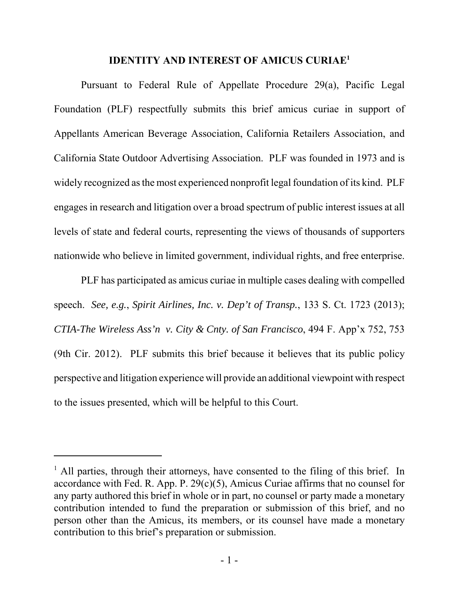## **IDENTITY AND INTEREST OF AMICUS CURIAE1**

Pursuant to Federal Rule of Appellate Procedure 29(a), Pacific Legal Foundation (PLF) respectfully submits this brief amicus curiae in support of Appellants American Beverage Association, California Retailers Association, and California State Outdoor Advertising Association. PLF was founded in 1973 and is widely recognized as the most experienced nonprofit legal foundation of its kind. PLF engages in research and litigation over a broad spectrum of public interest issues at all levels of state and federal courts, representing the views of thousands of supporters nationwide who believe in limited government, individual rights, and free enterprise.

PLF has participated as amicus curiae in multiple cases dealing with compelled speech. *See, e.g.*, *Spirit Airlines, Inc. v. Dep't of Transp.*, 133 S. Ct. 1723 (2013); *CTIA-The Wireless Ass'n v. City & Cnty. of San Francisco*, 494 F. App'x 752, 753 (9th Cir. 2012). PLF submits this brief because it believes that its public policy perspective and litigation experience will provide an additional viewpoint with respect to the issues presented, which will be helpful to this Court.

<sup>&</sup>lt;sup>1</sup> All parties, through their attorneys, have consented to the filing of this brief. In accordance with Fed. R. App. P.  $29(c)(5)$ , Amicus Curiae affirms that no counsel for any party authored this brief in whole or in part, no counsel or party made a monetary contribution intended to fund the preparation or submission of this brief, and no person other than the Amicus, its members, or its counsel have made a monetary contribution to this brief's preparation or submission.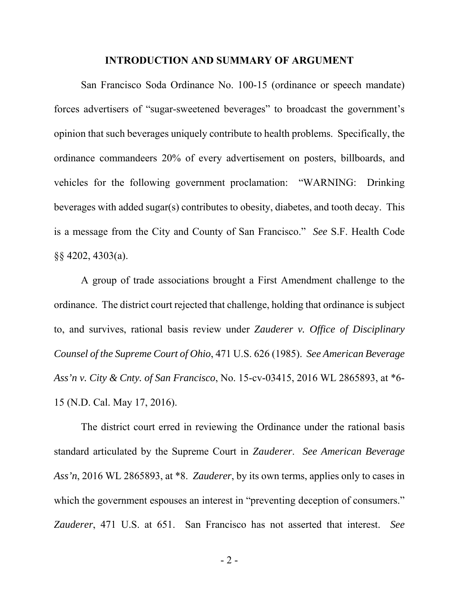### **INTRODUCTION AND SUMMARY OF ARGUMENT**

San Francisco Soda Ordinance No. 100-15 (ordinance or speech mandate) forces advertisers of "sugar-sweetened beverages" to broadcast the government's opinion that such beverages uniquely contribute to health problems. Specifically, the ordinance commandeers 20% of every advertisement on posters, billboards, and vehicles for the following government proclamation: "WARNING: Drinking beverages with added sugar(s) contributes to obesity, diabetes, and tooth decay. This is a message from the City and County of San Francisco." *See* S.F. Health Code §§ 4202, 4303(a).

A group of trade associations brought a First Amendment challenge to the ordinance. The district court rejected that challenge, holding that ordinance is subject to, and survives, rational basis review under *Zauderer v. Office of Disciplinary Counsel of the Supreme Court of Ohio*, 471 U.S. 626 (1985). *See American Beverage Ass'n v. City & Cnty. of San Francisco*, No. 15-cv-03415, 2016 WL 2865893, at \*6- 15 (N.D. Cal. May 17, 2016).

The district court erred in reviewing the Ordinance under the rational basis standard articulated by the Supreme Court in *Zauderer*. *See American Beverage Ass'n*, 2016 WL 2865893, at \*8. *Zauderer*, by its own terms, applies only to cases in which the government espouses an interest in "preventing deception of consumers." *Zauderer*, 471 U.S. at 651. San Francisco has not asserted that interest. *See*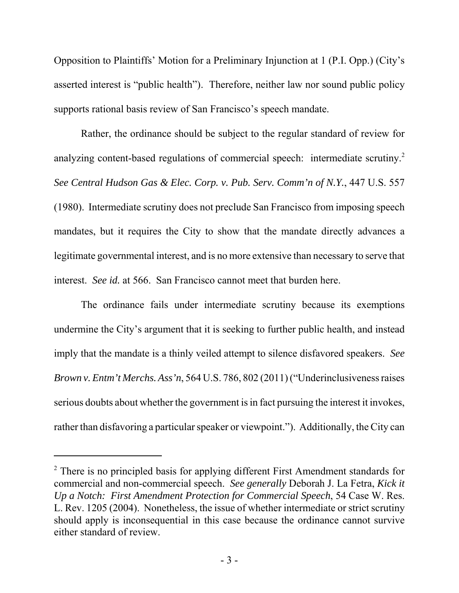Opposition to Plaintiffs' Motion for a Preliminary Injunction at 1 (P.I. Opp.) (City's asserted interest is "public health"). Therefore, neither law nor sound public policy supports rational basis review of San Francisco's speech mandate.

Rather, the ordinance should be subject to the regular standard of review for analyzing content-based regulations of commercial speech: intermediate scrutiny.<sup>2</sup> *See Central Hudson Gas & Elec. Corp. v. Pub. Serv. Comm'n of N.Y.*, 447 U.S. 557 (1980). Intermediate scrutiny does not preclude San Francisco from imposing speech mandates, but it requires the City to show that the mandate directly advances a legitimate governmental interest, and is no more extensive than necessary to serve that interest. *See id.* at 566. San Francisco cannot meet that burden here.

The ordinance fails under intermediate scrutiny because its exemptions undermine the City's argument that it is seeking to further public health, and instead imply that the mandate is a thinly veiled attempt to silence disfavored speakers. *See Brown v. Entm't Merchs. Ass'n*, 564 U.S. 786, 802 (2011) ("Underinclusiveness raises serious doubts about whether the government is in fact pursuing the interest it invokes, rather than disfavoring a particular speaker or viewpoint."). Additionally, the City can

<sup>&</sup>lt;sup>2</sup> There is no principled basis for applying different First Amendment standards for commercial and non-commercial speech. *See generally* Deborah J. La Fetra, *Kick it Up a Notch: First Amendment Protection for Commercial Speech*, 54 Case W. Res. L. Rev. 1205 (2004). Nonetheless, the issue of whether intermediate or strict scrutiny should apply is inconsequential in this case because the ordinance cannot survive either standard of review.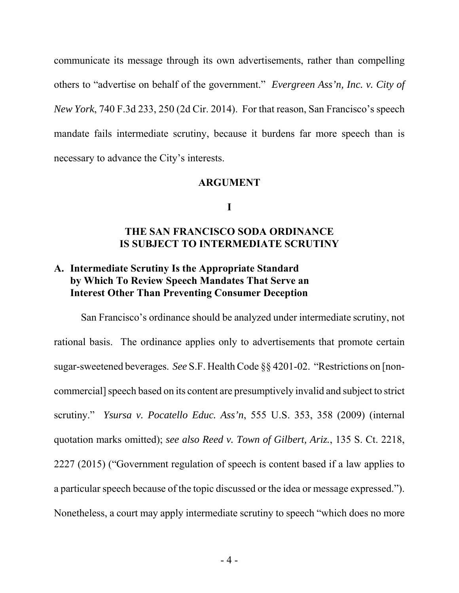communicate its message through its own advertisements, rather than compelling others to "advertise on behalf of the government." *Evergreen Ass'n, Inc. v. City of New York*, 740 F.3d 233, 250 (2d Cir. 2014). For that reason, San Francisco's speech mandate fails intermediate scrutiny, because it burdens far more speech than is necessary to advance the City's interests.

### **ARGUMENT**

#### **I**

## **THE SAN FRANCISCO SODA ORDINANCE IS SUBJECT TO INTERMEDIATE SCRUTINY**

## **A. Intermediate Scrutiny Is the Appropriate Standard by Which To Review Speech Mandates That Serve an Interest Other Than Preventing Consumer Deception**

San Francisco's ordinance should be analyzed under intermediate scrutiny, not rational basis. The ordinance applies only to advertisements that promote certain sugar-sweetened beverages. *See* S.F. Health Code §§ 4201-02. "Restrictions on [noncommercial] speech based on its content are presumptively invalid and subject to strict scrutiny." *Ysursa v. Pocatello Educ. Ass'n*, 555 U.S. 353, 358 (2009) (internal quotation marks omitted); *see also Reed v. Town of Gilbert, Ariz.*, 135 S. Ct. 2218, 2227 (2015) ("Government regulation of speech is content based if a law applies to a particular speech because of the topic discussed or the idea or message expressed."). Nonetheless, a court may apply intermediate scrutiny to speech "which does no more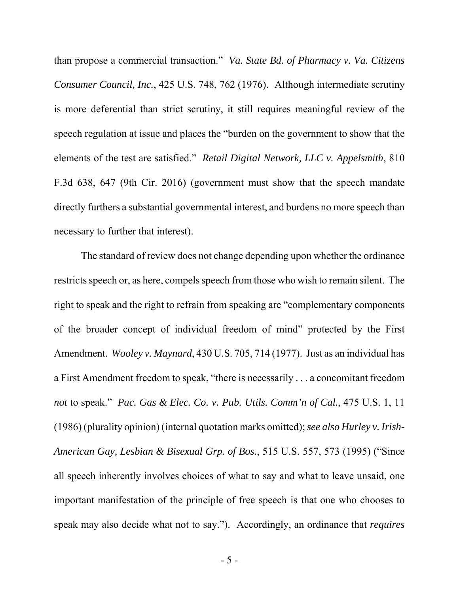than propose a commercial transaction." *Va. State Bd. of Pharmacy v. Va. Citizens Consumer Council, Inc.*, 425 U.S. 748, 762 (1976). Although intermediate scrutiny is more deferential than strict scrutiny, it still requires meaningful review of the speech regulation at issue and places the "burden on the government to show that the elements of the test are satisfied." *Retail Digital Network, LLC v. Appelsmith*, 810 F.3d 638, 647 (9th Cir. 2016) (government must show that the speech mandate directly furthers a substantial governmental interest, and burdens no more speech than necessary to further that interest).

The standard of review does not change depending upon whether the ordinance restricts speech or, as here, compels speech from those who wish to remain silent. The right to speak and the right to refrain from speaking are "complementary components of the broader concept of individual freedom of mind" protected by the First Amendment. *Wooley v. Maynard*, 430 U.S. 705, 714 (1977). Just as an individual has a First Amendment freedom to speak, "there is necessarily . . . a concomitant freedom *not* to speak." *Pac. Gas & Elec. Co. v. Pub. Utils. Comm'n of Cal.*, 475 U.S. 1, 11 (1986) (plurality opinion) (internal quotation marks omitted); *see also Hurley v. Irish-American Gay, Lesbian & Bisexual Grp. of Bos.*, 515 U.S. 557, 573 (1995) ("Since all speech inherently involves choices of what to say and what to leave unsaid, one important manifestation of the principle of free speech is that one who chooses to speak may also decide what not to say."). Accordingly, an ordinance that *requires*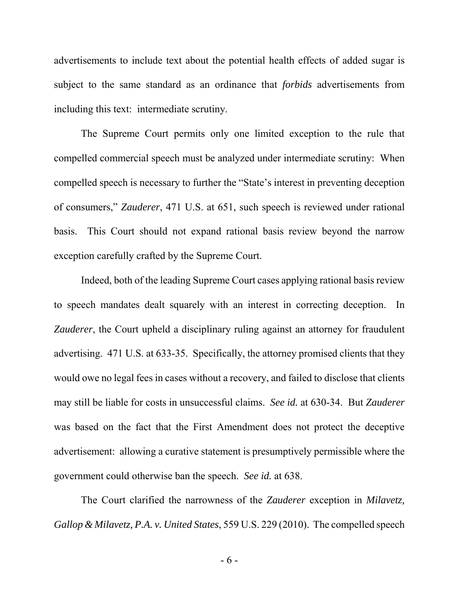advertisements to include text about the potential health effects of added sugar is subject to the same standard as an ordinance that *forbids* advertisements from including this text: intermediate scrutiny.

The Supreme Court permits only one limited exception to the rule that compelled commercial speech must be analyzed under intermediate scrutiny: When compelled speech is necessary to further the "State's interest in preventing deception of consumers," *Zauderer*, 471 U.S. at 651, such speech is reviewed under rational basis. This Court should not expand rational basis review beyond the narrow exception carefully crafted by the Supreme Court.

Indeed, both of the leading Supreme Court cases applying rational basis review to speech mandates dealt squarely with an interest in correcting deception. In *Zauderer*, the Court upheld a disciplinary ruling against an attorney for fraudulent advertising. 471 U.S. at 633-35. Specifically, the attorney promised clients that they would owe no legal fees in cases without a recovery, and failed to disclose that clients may still be liable for costs in unsuccessful claims. *See id.* at 630-34. But *Zauderer* was based on the fact that the First Amendment does not protect the deceptive advertisement: allowing a curative statement is presumptively permissible where the government could otherwise ban the speech. *See id.* at 638.

The Court clarified the narrowness of the *Zauderer* exception in *Milavetz, Gallop & Milavetz, P.A. v. United States*, 559 U.S. 229 (2010). The compelled speech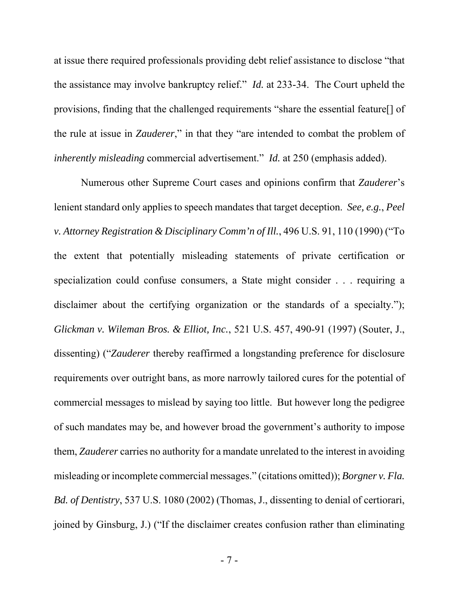at issue there required professionals providing debt relief assistance to disclose "that the assistance may involve bankruptcy relief." *Id.* at 233-34. The Court upheld the provisions, finding that the challenged requirements "share the essential feature[] of the rule at issue in *Zauderer*," in that they "are intended to combat the problem of *inherently misleading* commercial advertisement." *Id.* at 250 (emphasis added).

Numerous other Supreme Court cases and opinions confirm that *Zauderer*'s lenient standard only applies to speech mandates that target deception. *See, e.g.*, *Peel v. Attorney Registration & Disciplinary Comm'n of Ill.*, 496 U.S. 91, 110 (1990) ("To the extent that potentially misleading statements of private certification or specialization could confuse consumers, a State might consider . . . requiring a disclaimer about the certifying organization or the standards of a specialty."); *Glickman v. Wileman Bros. & Elliot, Inc.*, 521 U.S. 457, 490-91 (1997) (Souter, J., dissenting) ("*Zauderer* thereby reaffirmed a longstanding preference for disclosure requirements over outright bans, as more narrowly tailored cures for the potential of commercial messages to mislead by saying too little. But however long the pedigree of such mandates may be, and however broad the government's authority to impose them, *Zauderer* carries no authority for a mandate unrelated to the interest in avoiding misleading or incomplete commercial messages." (citations omitted)); *Borgner v. Fla. Bd. of Dentistry*, 537 U.S. 1080 (2002) (Thomas, J., dissenting to denial of certiorari, joined by Ginsburg, J.) ("If the disclaimer creates confusion rather than eliminating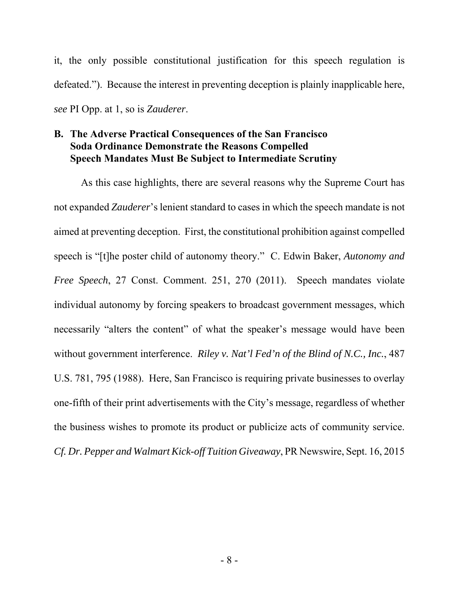it, the only possible constitutional justification for this speech regulation is defeated."). Because the interest in preventing deception is plainly inapplicable here, *see* PI Opp. at 1, so is *Zauderer*.

## **B. The Adverse Practical Consequences of the San Francisco Soda Ordinance Demonstrate the Reasons Compelled Speech Mandates Must Be Subject to Intermediate Scrutiny**

As this case highlights, there are several reasons why the Supreme Court has not expanded *Zauderer*'s lenient standard to cases in which the speech mandate is not aimed at preventing deception. First, the constitutional prohibition against compelled speech is "[t]he poster child of autonomy theory." C. Edwin Baker, *Autonomy and Free Speech*, 27 Const. Comment. 251, 270 (2011). Speech mandates violate individual autonomy by forcing speakers to broadcast government messages, which necessarily "alters the content" of what the speaker's message would have been without government interference. *Riley v. Nat'l Fed'n of the Blind of N.C., Inc.*, 487 U.S. 781, 795 (1988). Here, San Francisco is requiring private businesses to overlay one-fifth of their print advertisements with the City's message, regardless of whether the business wishes to promote its product or publicize acts of community service. *Cf. Dr. Pepper and Walmart Kick-off Tuition Giveaway*, PR Newswire, Sept. 16, 2015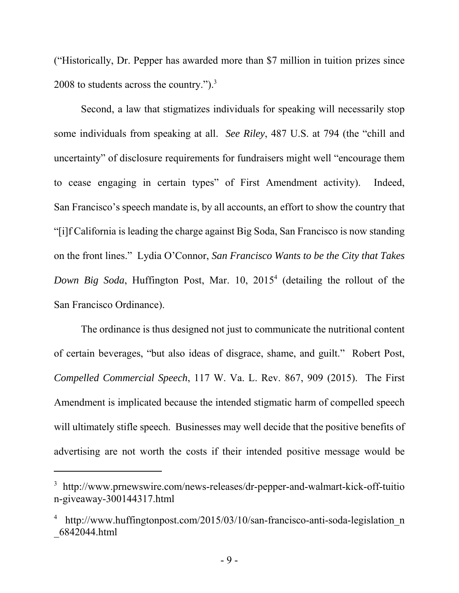("Historically, Dr. Pepper has awarded more than \$7 million in tuition prizes since 2008 to students across the country.").<sup>3</sup>

Second, a law that stigmatizes individuals for speaking will necessarily stop some individuals from speaking at all. *See Riley*, 487 U.S. at 794 (the "chill and uncertainty" of disclosure requirements for fundraisers might well "encourage them to cease engaging in certain types" of First Amendment activity). Indeed, San Francisco's speech mandate is, by all accounts, an effort to show the country that "[i]f California is leading the charge against Big Soda, San Francisco is now standing on the front lines." Lydia O'Connor, *San Francisco Wants to be the City that Takes Down Big Soda*, Huffington Post, Mar. 10, 20154 (detailing the rollout of the San Francisco Ordinance).

The ordinance is thus designed not just to communicate the nutritional content of certain beverages, "but also ideas of disgrace, shame, and guilt." Robert Post, *Compelled Commercial Speech*, 117 W. Va. L. Rev. 867, 909 (2015). The First Amendment is implicated because the intended stigmatic harm of compelled speech will ultimately stifle speech. Businesses may well decide that the positive benefits of advertising are not worth the costs if their intended positive message would be

<sup>&</sup>lt;sup>3</sup> http://www.prnewswire.com/news-releases/dr-pepper-and-walmart-kick-off-tuitio n-giveaway-300144317.html

<sup>4</sup> http://www.huffingtonpost.com/2015/03/10/san-francisco-anti-soda-legislation\_n \_6842044.html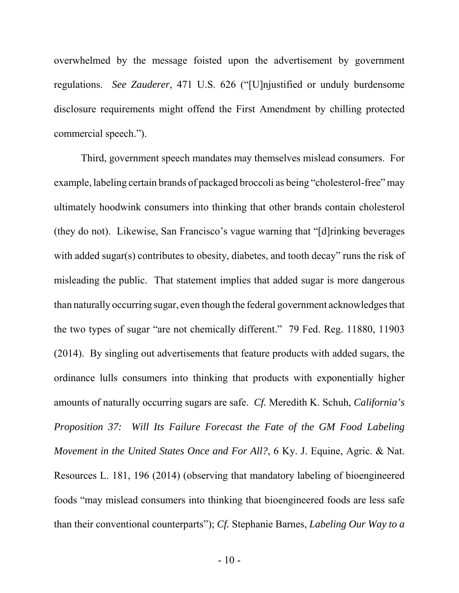overwhelmed by the message foisted upon the advertisement by government regulations. *See Zauderer*, 471 U.S. 626 ("[U]njustified or unduly burdensome disclosure requirements might offend the First Amendment by chilling protected commercial speech.").

Third, government speech mandates may themselves mislead consumers. For example, labeling certain brands of packaged broccoli as being "cholesterol-free" may ultimately hoodwink consumers into thinking that other brands contain cholesterol (they do not). Likewise, San Francisco's vague warning that "[d]rinking beverages with added sugar(s) contributes to obesity, diabetes, and tooth decay" runs the risk of misleading the public. That statement implies that added sugar is more dangerous than naturally occurring sugar, even though the federal government acknowledges that the two types of sugar "are not chemically different." 79 Fed. Reg. 11880, 11903 (2014). By singling out advertisements that feature products with added sugars, the ordinance lulls consumers into thinking that products with exponentially higher amounts of naturally occurring sugars are safe. *Cf.* Meredith K. Schuh, *California's Proposition 37: Will Its Failure Forecast the Fate of the GM Food Labeling Movement in the United States Once and For All?*, 6 Ky. J. Equine, Agric. & Nat. Resources L. 181, 196 (2014) (observing that mandatory labeling of bioengineered foods "may mislead consumers into thinking that bioengineered foods are less safe than their conventional counterparts"); *Cf.* Stephanie Barnes, *Labeling Our Way to a*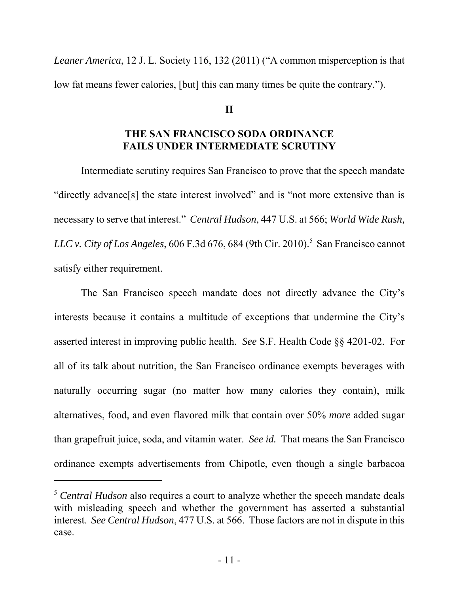*Leaner America*, 12 J. L. Society 116, 132 (2011) ("A common misperception is that low fat means fewer calories, [but] this can many times be quite the contrary.").

### **II**

## **THE SAN FRANCISCO SODA ORDINANCE FAILS UNDER INTERMEDIATE SCRUTINY**

Intermediate scrutiny requires San Francisco to prove that the speech mandate "directly advance[s] the state interest involved" and is "not more extensive than is necessary to serve that interest." *Central Hudson*, 447 U.S. at 566; *World Wide Rush, LLC v. City of Los Angeles*, 606 F.3d 676, 684 (9th Cir. 2010).<sup>5</sup> San Francisco cannot satisfy either requirement.

The San Francisco speech mandate does not directly advance the City's interests because it contains a multitude of exceptions that undermine the City's asserted interest in improving public health. *See* S.F. Health Code §§ 4201-02. For all of its talk about nutrition, the San Francisco ordinance exempts beverages with naturally occurring sugar (no matter how many calories they contain), milk alternatives, food, and even flavored milk that contain over 50% *more* added sugar than grapefruit juice, soda, and vitamin water. *See id.* That means the San Francisco ordinance exempts advertisements from Chipotle, even though a single barbacoa

<sup>5</sup> *Central Hudson* also requires a court to analyze whether the speech mandate deals with misleading speech and whether the government has asserted a substantial interest. *See Central Hudson*, 477 U.S. at 566. Those factors are not in dispute in this case.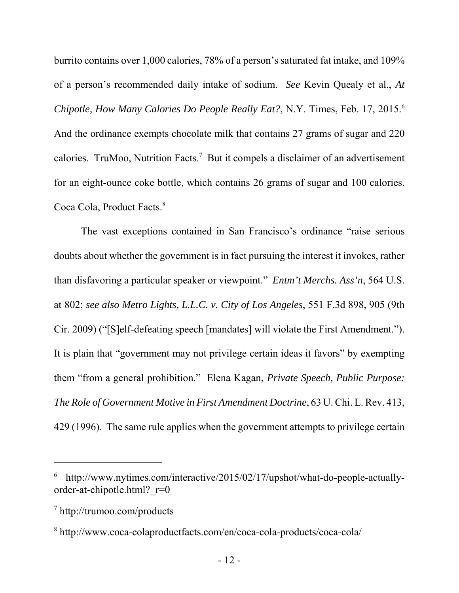burrito contains over 1,000 calories, 78% of a person's saturated fat intake, and 109% of a person's recommended daily intake of sodium. *See* Kevin Quealy et al., *At Chipotle, How Many Calories Do People Really Eat?*, N.Y. Times, Feb. 17, 2015.6 And the ordinance exempts chocolate milk that contains 27 grams of sugar and 220 calories. TruMoo, Nutrition Facts.<sup>7</sup> But it compels a disclaimer of an advertisement for an eight-ounce coke bottle, which contains 26 grams of sugar and 100 calories. Coca Cola, Product Facts.<sup>8</sup>

The vast exceptions contained in San Francisco's ordinance "raise serious doubts about whether the government is in fact pursuing the interest it invokes, rather than disfavoring a particular speaker or viewpoint." *Entm't Merchs. Ass'n*, 564 U.S. at 802; *see also Metro Lights, L.L.C. v. City of Los Angeles*, 551 F.3d 898, 905 (9th Cir. 2009) ("[S]elf-defeating speech [mandates] will violate the First Amendment."). It is plain that "government may not privilege certain ideas it favors" by exempting them "from a general prohibition." Elena Kagan, *Private Speech, Public Purpose: The Role of Government Motive in First Amendment Doctrine*, 63 U. Chi. L. Rev. 413, 429 (1996). The same rule applies when the government attempts to privilege certain

<sup>6</sup> http://www.nytimes.com/interactive/2015/02/17/upshot/what-do-people-actuallyorder-at-chipotle.html?\_r=0

<sup>7</sup> http://trumoo.com/products

<sup>8</sup> http://www.coca-colaproductfacts.com/en/coca-cola-products/coca-cola/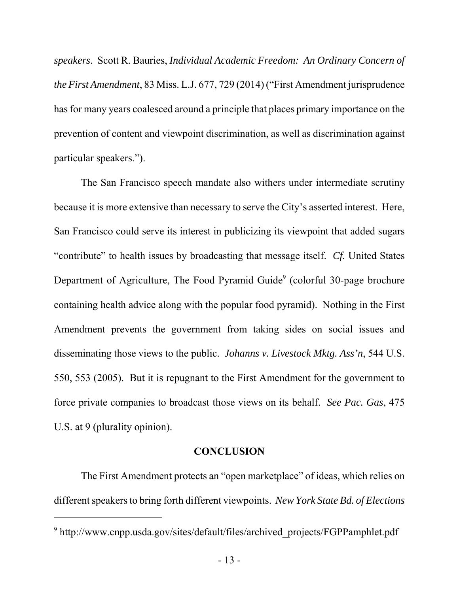*speakers*. Scott R. Bauries, *Individual Academic Freedom: An Ordinary Concern of the First Amendment*, 83 Miss. L.J. 677, 729 (2014) ("First Amendment jurisprudence has for many years coalesced around a principle that places primary importance on the prevention of content and viewpoint discrimination, as well as discrimination against particular speakers.").

The San Francisco speech mandate also withers under intermediate scrutiny because it is more extensive than necessary to serve the City's asserted interest. Here, San Francisco could serve its interest in publicizing its viewpoint that added sugars "contribute" to health issues by broadcasting that message itself. *Cf.* United States Department of Agriculture, The Food Pyramid Guide<sup>9</sup> (colorful 30-page brochure containing health advice along with the popular food pyramid). Nothing in the First Amendment prevents the government from taking sides on social issues and disseminating those views to the public. *Johanns v. Livestock Mktg. Ass'n*, 544 U.S. 550, 553 (2005). But it is repugnant to the First Amendment for the government to force private companies to broadcast those views on its behalf. *See Pac. Gas*, 475 U.S. at 9 (plurality opinion).

### **CONCLUSION**

The First Amendment protects an "open marketplace" of ideas, which relies on different speakers to bring forth different viewpoints. *New York State Bd. of Elections*

<sup>&</sup>lt;sup>9</sup> http://www.cnpp.usda.gov/sites/default/files/archived\_projects/FGPPamphlet.pdf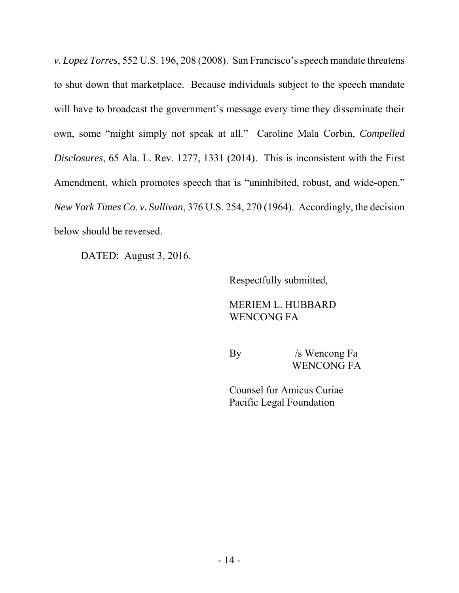*v. Lopez Torres*, 552 U.S. 196, 208 (2008). San Francisco's speech mandate threatens to shut down that marketplace. Because individuals subject to the speech mandate will have to broadcast the government's message every time they disseminate their own, some "might simply not speak at all." Caroline Mala Corbin, *Compelled Disclosures*, 65 Ala. L. Rev. 1277, 1331 (2014). This is inconsistent with the First Amendment, which promotes speech that is "uninhibited, robust, and wide-open." *New York Times Co. v. Sullivan*, 376 U.S. 254, 270 (1964). Accordingly, the decision below should be reversed.

DATED: August 3, 2016.

Respectfully submitted,

MERIEM L. HUBBARD WENCONG FA

By /s Wencong Fa WENCONG FA

Counsel for Amicus Curiae Pacific Legal Foundation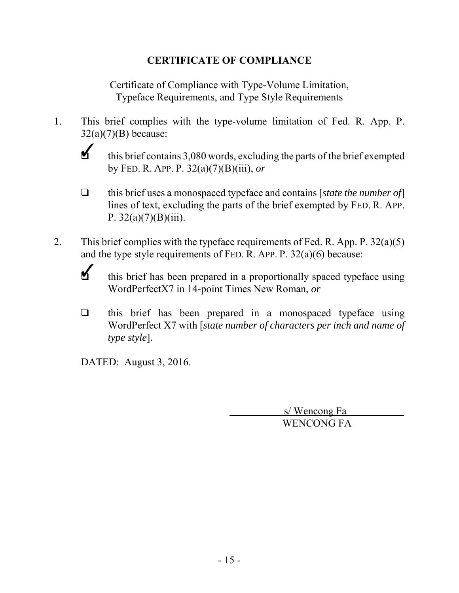## **CERTIFICATE OF COMPLIANCE**

Certificate of Compliance with Type-Volume Limitation, Typeface Requirements, and Type Style Requirements

- 1. This brief complies with the type-volume limitation of Fed. R. App. P.  $32(a)(7)(B)$  because:
	- $\checkmark$ this brief contains 3,080 words, excluding the parts of the brief exempted by FED. R. APP. P. 32(a)(7)(B)(iii), *or*
	- □ this brief uses a monospaced typeface and contains [*state the number of*] lines of text, excluding the parts of the brief exempted by FED. R. APP. P.  $32(a)(7)(B)(iii)$ .
- 2. This brief complies with the typeface requirements of Fed. R. App. P.  $32(a)(5)$ and the type style requirements of FED. R. APP. P. 32(a)(6) because:
	- $\blacktriangleleft$ this brief has been prepared in a proportionally spaced typeface using WordPerfectX7 in 14-point Times New Roman, *or*
	- $\Box$  this brief has been prepared in a monospaced typeface using WordPerfect X7 with [*state number of characters per inch and name of type style*].

DATED: August 3, 2016.

 s/ Wencong Fa WENCONG FA